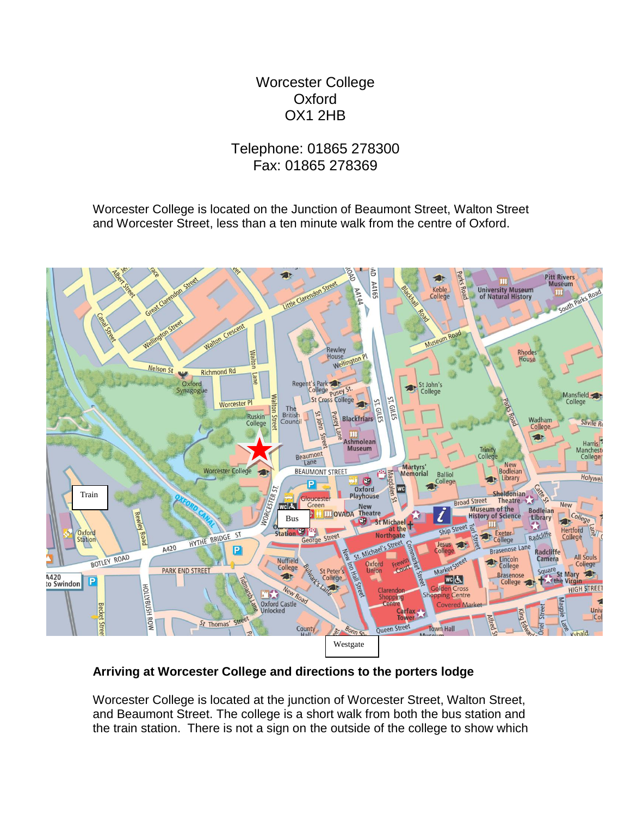## Worcester College **Oxford** OX1 2HB

## Telephone: 01865 278300 Fax: 01865 278369

Worcester College is located on the Junction of Beaumont Street, Walton Street and Worcester Street, less than a ten minute walk from the centre of Oxford.



## **Arriving at Worcester College and directions to the porters lodge**

Worcester College is located at the junction of Worcester Street, Walton Street, and Beaumont Street. The college is a short walk from both the bus station and the train station. There is not a sign on the outside of the college to show which